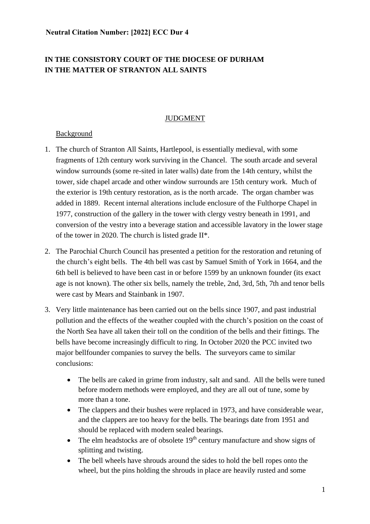# **IN THE CONSISTORY COURT OF THE DIOCESE OF DURHAM IN THE MATTER OF STRANTON ALL SAINTS**

### JUDGMENT

#### Background

- 1. The church of Stranton All Saints, Hartlepool, is essentially medieval, with some fragments of 12th century work surviving in the Chancel. The south arcade and several window surrounds (some re-sited in later walls) date from the 14th century, whilst the tower, side chapel arcade and other window surrounds are 15th century work. Much of the exterior is 19th century restoration, as is the north arcade. The organ chamber was added in 1889. Recent internal alterations include enclosure of the Fulthorpe Chapel in 1977, construction of the gallery in the tower with clergy vestry beneath in 1991, and conversion of the vestry into a beverage station and accessible lavatory in the lower stage of the tower in 2020. The church is listed grade II\*.
- 2. The Parochial Church Council has presented a petition for the restoration and retuning of the church's eight bells. The 4th bell was cast by Samuel Smith of York in 1664, and the 6th bell is believed to have been cast in or before 1599 by an unknown founder (its exact age is not known). The other six bells, namely the treble, 2nd, 3rd, 5th, 7th and tenor bells were cast by Mears and Stainbank in 1907.
- 3. Very little maintenance has been carried out on the bells since 1907, and past industrial pollution and the effects of the weather coupled with the church's position on the coast of the North Sea have all taken their toll on the condition of the bells and their fittings. The bells have become increasingly difficult to ring. In October 2020 the PCC invited two major bellfounder companies to survey the bells. The surveyors came to similar conclusions:
	- The bells are caked in grime from industry, salt and sand. All the bells were tuned before modern methods were employed, and they are all out of tune, some by more than a tone.
	- The clappers and their bushes were replaced in 1973, and have considerable wear, and the clappers are too heavy for the bells. The bearings date from 1951 and should be replaced with modern sealed bearings.
	- The elm headstocks are of obsolete  $19<sup>th</sup>$  century manufacture and show signs of splitting and twisting.
	- The bell wheels have shrouds around the sides to hold the bell ropes onto the wheel, but the pins holding the shrouds in place are heavily rusted and some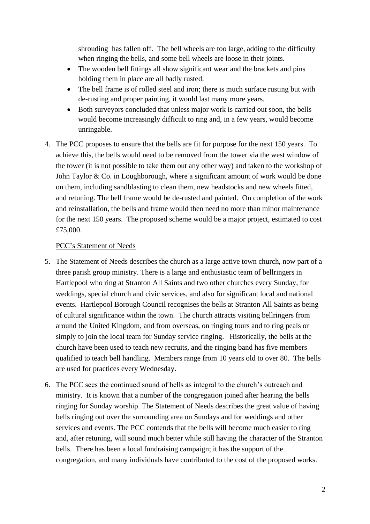shrouding has fallen off. The bell wheels are too large, adding to the difficulty when ringing the bells, and some bell wheels are loose in their joints.

- The wooden bell fittings all show significant wear and the brackets and pins holding them in place are all badly rusted.
- The bell frame is of rolled steel and iron; there is much surface rusting but with de-rusting and proper painting, it would last many more years.
- Both surveyors concluded that unless major work is carried out soon, the bells would become increasingly difficult to ring and, in a few years, would become unringable.
- 4. The PCC proposes to ensure that the bells are fit for purpose for the next 150 years. To achieve this, the bells would need to be removed from the tower via the west window of the tower (it is not possible to take them out any other way) and taken to the workshop of John Taylor & Co. in Loughborough, where a significant amount of work would be done on them, including sandblasting to clean them, new headstocks and new wheels fitted, and retuning. The bell frame would be de-rusted and painted. On completion of the work and reinstallation, the bells and frame would then need no more than minor maintenance for the next 150 years. The proposed scheme would be a major project, estimated to cost £75,000.

# PCC's Statement of Needs

- 5. The Statement of Needs describes the church as a large active town church, now part of a three parish group ministry. There is a large and enthusiastic team of bellringers in Hartlepool who ring at Stranton All Saints and two other churches every Sunday, for weddings, special church and civic services, and also for significant local and national events. Hartlepool Borough Council recognises the bells at Stranton All Saints as being of cultural significance within the town. The church attracts visiting bellringers from around the United Kingdom, and from overseas, on ringing tours and to ring peals or simply to join the local team for Sunday service ringing. Historically, the bells at the church have been used to teach new recruits, and the ringing band has five members qualified to teach bell handling. Members range from 10 years old to over 80. The bells are used for practices every Wednesday.
- 6. The PCC sees the continued sound of bells as integral to the church's outreach and ministry. It is known that a number of the congregation joined after hearing the bells ringing for Sunday worship. The Statement of Needs describes the great value of having bells ringing out over the surrounding area on Sundays and for weddings and other services and events. The PCC contends that the bells will become much easier to ring and, after retuning, will sound much better while still having the character of the Stranton bells. There has been a local fundraising campaign; it has the support of the congregation, and many individuals have contributed to the cost of the proposed works.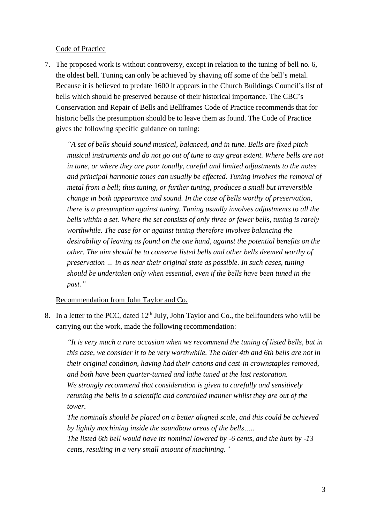#### Code of Practice

7. The proposed work is without controversy, except in relation to the tuning of bell no. 6, the oldest bell. Tuning can only be achieved by shaving off some of the bell's metal. Because it is believed to predate 1600 it appears in the Church Buildings Council's list of bells which should be preserved because of their historical importance. The CBC's Conservation and Repair of Bells and Bellframes Code of Practice recommends that for historic bells the presumption should be to leave them as found. The Code of Practice gives the following specific guidance on tuning:

*"A set of bells should sound musical, balanced, and in tune. Bells are fixed pitch musical instruments and do not go out of tune to any great extent. Where bells are not in tune, or where they are poor tonally, careful and limited adjustments to the notes and principal harmonic tones can usually be effected. Tuning involves the removal of metal from a bell; thus tuning, or further tuning, produces a small but irreversible change in both appearance and sound. In the case of bells worthy of preservation, there is a presumption against tuning. Tuning usually involves adjustments to all the bells within a set. Where the set consists of only three or fewer bells, tuning is rarely worthwhile. The case for or against tuning therefore involves balancing the desirability of leaving as found on the one hand, against the potential benefits on the other. The aim should be to conserve listed bells and other bells deemed worthy of preservation … in as near their original state as possible. In such cases, tuning should be undertaken only when essential, even if the bells have been tuned in the past."*

#### Recommendation from John Taylor and Co.

8. In a letter to the PCC, dated  $12<sup>th</sup>$  July, John Taylor and Co., the bellfounders who will be carrying out the work, made the following recommendation:

*"It is very much a rare occasion when we recommend the tuning of listed bells, but in this case, we consider it to be very worthwhile. The older 4th and 6th bells are not in their original condition, having had their canons and cast-in crownstaples removed, and both have been quarter-turned and lathe tuned at the last restoration. We strongly recommend that consideration is given to carefully and sensitively retuning the bells in a scientific and controlled manner whilst they are out of the tower.*

*The nominals should be placed on a better aligned scale, and this could be achieved by lightly machining inside the soundbow areas of the bells…..*

*The listed 6th bell would have its nominal lowered by -6 cents, and the hum by -13 cents, resulting in a very small amount of machining."*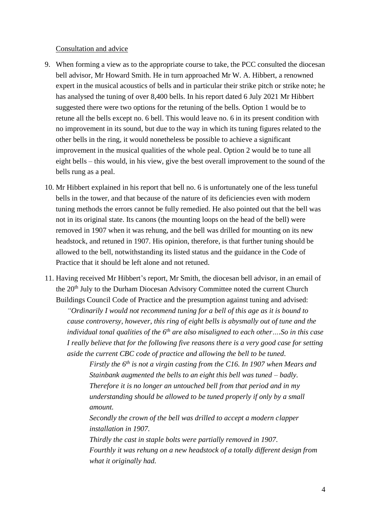#### Consultation and advice

- 9. When forming a view as to the appropriate course to take, the PCC consulted the diocesan bell advisor, Mr Howard Smith. He in turn approached Mr W. A. Hibbert, a renowned expert in the musical acoustics of bells and in particular their strike pitch or strike note; he has analysed the tuning of over 8,400 bells. In his report dated 6 July 2021 Mr Hibbert suggested there were two options for the retuning of the bells. Option 1 would be to retune all the bells except no. 6 bell. This would leave no. 6 in its present condition with no improvement in its sound, but due to the way in which its tuning figures related to the other bells in the ring, it would nonetheless be possible to achieve a significant improvement in the musical qualities of the whole peal. Option 2 would be to tune all eight bells – this would, in his view, give the best overall improvement to the sound of the bells rung as a peal.
- 10. Mr Hibbert explained in his report that bell no. 6 is unfortunately one of the less tuneful bells in the tower, and that because of the nature of its deficiencies even with modern tuning methods the errors cannot be fully remedied. He also pointed out that the bell was not in its original state. Its canons (the mounting loops on the head of the bell) were removed in 1907 when it was rehung, and the bell was drilled for mounting on its new headstock, and retuned in 1907. His opinion, therefore, is that further tuning should be allowed to the bell, notwithstanding its listed status and the guidance in the Code of Practice that it should be left alone and not retuned.
- 11. Having received Mr Hibbert's report, Mr Smith, the diocesan bell advisor, in an email of the 20<sup>th</sup> July to the Durham Diocesan Advisory Committee noted the current Church Buildings Council Code of Practice and the presumption against tuning and advised:

*"Ordinarily I would not recommend tuning for a bell of this age as it is bound to cause controversy, however, this ring of eight bells is abysmally out of tune and the individual tonal qualities of the 6th are also misaligned to each other….So in this case I really believe that for the following five reasons there is a very good case for setting aside the current CBC code of practice and allowing the bell to be tuned.*

*Firstly the 6th is not a virgin casting from the C16. In 1907 when Mears and Stainbank augmented the bells to an eight this bell was tuned – badly. Therefore it is no longer an untouched bell from that period and in my understanding should be allowed to be tuned properly if only by a small amount.*

*Secondly the crown of the bell was drilled to accept a modern clapper installation in 1907.*

*Thirdly the cast in staple bolts were partially removed in 1907. Fourthly it was rehung on a new headstock of a totally different design from what it originally had.*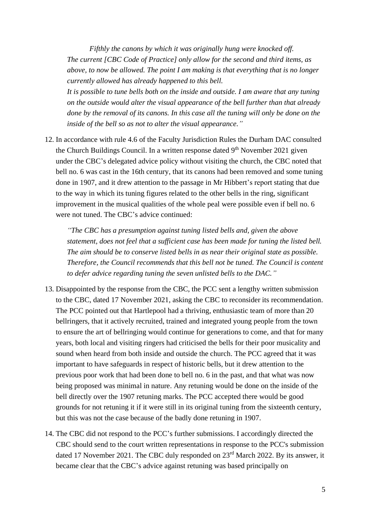*Fifthly the canons by which it was originally hung were knocked off. The current [CBC Code of Practice] only allow for the second and third items, as above, to now be allowed. The point I am making is that everything that is no longer currently allowed has already happened to this bell. It is possible to tune bells both on the inside and outside. I am aware that any tuning on the outside would alter the visual appearance of the bell further than that already* 

*done by the removal of its canons. In this case all the tuning will only be done on the inside of the bell so as not to alter the visual appearance."*

12. In accordance with rule 4.6 of the Faculty Jurisdiction Rules the Durham DAC consulted the Church Buildings Council. In a written response dated  $9<sup>th</sup>$  November 2021 given under the CBC's delegated advice policy without visiting the church, the CBC noted that bell no. 6 was cast in the 16th century, that its canons had been removed and some tuning done in 1907, and it drew attention to the passage in Mr Hibbert's report stating that due to the way in which its tuning figures related to the other bells in the ring, significant improvement in the musical qualities of the whole peal were possible even if bell no. 6 were not tuned. The CBC's advice continued:

*"The CBC has a presumption against tuning listed bells and, given the above statement, does not feel that a sufficient case has been made for tuning the listed bell. The aim should be to conserve listed bells in as near their original state as possible. Therefore, the Council recommends that this bell not be tuned. The Council is content to defer advice regarding tuning the seven unlisted bells to the DAC."*

- 13. Disappointed by the response from the CBC, the PCC sent a lengthy written submission to the CBC, dated 17 November 2021, asking the CBC to reconsider its recommendation. The PCC pointed out that Hartlepool had a thriving, enthusiastic team of more than 20 bellringers, that it actively recruited, trained and integrated young people from the town to ensure the art of bellringing would continue for generations to come, and that for many years, both local and visiting ringers had criticised the bells for their poor musicality and sound when heard from both inside and outside the church. The PCC agreed that it was important to have safeguards in respect of historic bells, but it drew attention to the previous poor work that had been done to bell no. 6 in the past, and that what was now being proposed was minimal in nature. Any retuning would be done on the inside of the bell directly over the 1907 retuning marks. The PCC accepted there would be good grounds for not retuning it if it were still in its original tuning from the sixteenth century, but this was not the case because of the badly done retuning in 1907.
- 14. The CBC did not respond to the PCC's further submissions. I accordingly directed the CBC should send to the court written representations in response to the PCC's submission dated 17 November 2021. The CBC duly responded on 23rd March 2022. By its answer, it became clear that the CBC's advice against retuning was based principally on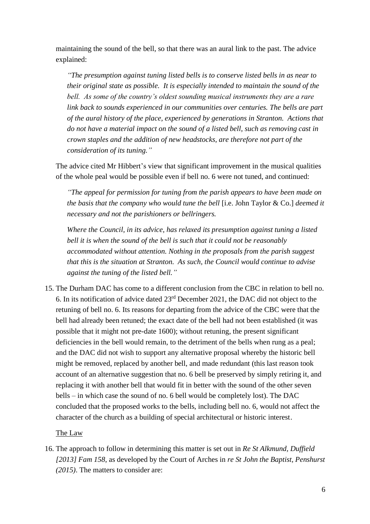maintaining the sound of the bell, so that there was an aural link to the past. The advice explained:

*"The presumption against tuning listed bells is to conserve listed bells in as near to their original state as possible. It is especially intended to maintain the sound of the bell. As some of the country's oldest sounding musical instruments they are a rare link back to sounds experienced in our communities over centuries. The bells are part of the aural history of the place, experienced by generations in Stranton. Actions that do not have a material impact on the sound of a listed bell, such as removing cast in crown staples and the addition of new headstocks, are therefore not part of the consideration of its tuning."*

The advice cited Mr Hibbert's view that significant improvement in the musical qualities of the whole peal would be possible even if bell no. 6 were not tuned, and continued:

*"The appeal for permission for tuning from the parish appears to have been made on the basis that the company who would tune the bell* [i.e. John Taylor & Co.] *deemed it necessary and not the parishioners or bellringers.*

*Where the Council, in its advice, has relaxed its presumption against tuning a listed bell it is when the sound of the bell is such that it could not be reasonably accommodated without attention. Nothing in the proposals from the parish suggest that this is the situation at Stranton. As such, the Council would continue to advise against the tuning of the listed bell."*

15. The Durham DAC has come to a different conclusion from the CBC in relation to bell no. 6. In its notification of advice dated 23rd December 2021, the DAC did not object to the retuning of bell no. 6. Its reasons for departing from the advice of the CBC were that the bell had already been retuned; the exact date of the bell had not been established (it was possible that it might not pre-date 1600); without retuning, the present significant deficiencies in the bell would remain, to the detriment of the bells when rung as a peal; and the DAC did not wish to support any alternative proposal whereby the historic bell might be removed, replaced by another bell, and made redundant (this last reason took account of an alternative suggestion that no. 6 bell be preserved by simply retiring it, and replacing it with another bell that would fit in better with the sound of the other seven bells – in which case the sound of no. 6 bell would be completely lost). The DAC concluded that the proposed works to the bells, including bell no. 6, would not affect the character of the church as a building of special architectural or historic interest.

#### The Law

16. The approach to follow in determining this matter is set out in *Re St Alkmund, Duffield [2013] Fam 158*, as developed by the Court of Arches in *re St John the Baptist, Penshurst (2015)*. The matters to consider are: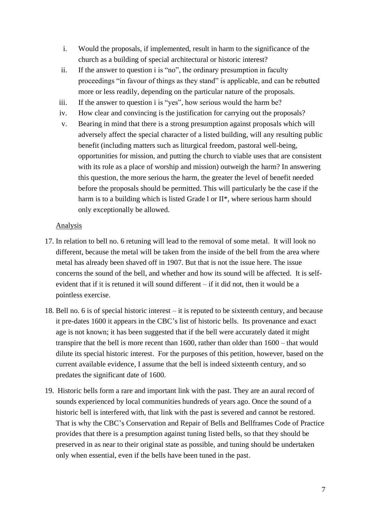- i. Would the proposals, if implemented, result in harm to the significance of the church as a building of special architectural or historic interest?
- ii. If the answer to question i is "no", the ordinary presumption in faculty proceedings "in favour of things as they stand" is applicable, and can be rebutted more or less readily, depending on the particular nature of the proposals.
- iii. If the answer to question i is "yes", how serious would the harm be?
- iv. How clear and convincing is the justification for carrying out the proposals?
- v. Bearing in mind that there is a strong presumption against proposals which will adversely affect the special character of a listed building, will any resulting public benefit (including matters such as liturgical freedom, pastoral well-being, opportunities for mission, and putting the church to viable uses that are consistent with its role as a place of worship and mission) outweigh the harm? In answering this question, the more serious the harm, the greater the level of benefit needed before the proposals should be permitted. This will particularly be the case if the harm is to a building which is listed Grade l or II\*, where serious harm should only exceptionally be allowed.

## Analysis

- 17. In relation to bell no. 6 retuning will lead to the removal of some metal. It will look no different, because the metal will be taken from the inside of the bell from the area where metal has already been shaved off in 1907. But that is not the issue here. The issue concerns the sound of the bell, and whether and how its sound will be affected. It is selfevident that if it is retuned it will sound different – if it did not, then it would be a pointless exercise.
- 18. Bell no. 6 is of special historic interest it is reputed to be sixteenth century, and because it pre-dates 1600 it appears in the CBC's list of historic bells. Its provenance and exact age is not known; it has been suggested that if the bell were accurately dated it might transpire that the bell is more recent than 1600, rather than older than 1600 – that would dilute its special historic interest. For the purposes of this petition, however, based on the current available evidence, I assume that the bell is indeed sixteenth century, and so predates the significant date of 1600.
- 19. Historic bells form a rare and important link with the past. They are an aural record of sounds experienced by local communities hundreds of years ago. Once the sound of a historic bell is interfered with, that link with the past is severed and cannot be restored. That is why the CBC's Conservation and Repair of Bells and Bellframes Code of Practice provides that there is a presumption against tuning listed bells, so that they should be preserved in as near to their original state as possible*,* and tuning should be undertaken only when essential, even if the bells have been tuned in the past.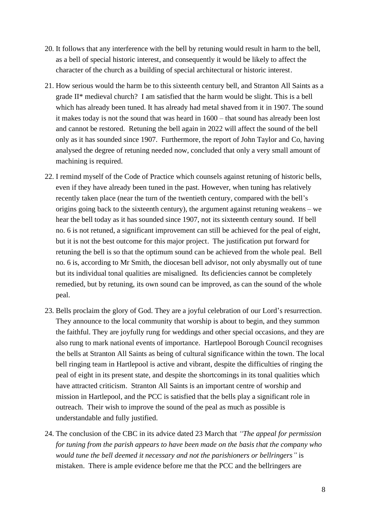- 20. It follows that any interference with the bell by retuning would result in harm to the bell, as a bell of special historic interest, and consequently it would be likely to affect the character of the church as a building of special architectural or historic interest.
- 21. How serious would the harm be to this sixteenth century bell, and Stranton All Saints as a grade II\* medieval church? I am satisfied that the harm would be slight. This is a bell which has already been tuned. It has already had metal shaved from it in 1907. The sound it makes today is not the sound that was heard in 1600 – that sound has already been lost and cannot be restored. Retuning the bell again in 2022 will affect the sound of the bell only as it has sounded since 1907. Furthermore, the report of John Taylor and Co, having analysed the degree of retuning needed now, concluded that only a very small amount of machining is required.
- 22. I remind myself of the Code of Practice which counsels against retuning of historic bells, even if they have already been tuned in the past. However, when tuning has relatively recently taken place (near the turn of the twentieth century, compared with the bell's origins going back to the sixteenth century), the argument against retuning weakens – we hear the bell today as it has sounded since 1907, not its sixteenth century sound. If bell no. 6 is not retuned, a significant improvement can still be achieved for the peal of eight, but it is not the best outcome for this major project. The justification put forward for retuning the bell is so that the optimum sound can be achieved from the whole peal. Bell no. 6 is, according to Mr Smith, the diocesan bell advisor, not only abysmally out of tune but its individual tonal qualities are misaligned. Its deficiencies cannot be completely remedied, but by retuning, its own sound can be improved, as can the sound of the whole peal.
- 23. Bells proclaim the glory of God. They are a joyful celebration of our Lord's resurrection. They announce to the local community that worship is about to begin, and they summon the faithful. They are joyfully rung for weddings and other special occasions, and they are also rung to mark national events of importance. Hartlepool Borough Council recognises the bells at Stranton All Saints as being of cultural significance within the town. The local bell ringing team in Hartlepool is active and vibrant, despite the difficulties of ringing the peal of eight in its present state, and despite the shortcomings in its tonal qualities which have attracted criticism. Stranton All Saints is an important centre of worship and mission in Hartlepool, and the PCC is satisfied that the bells play a significant role in outreach. Their wish to improve the sound of the peal as much as possible is understandable and fully justified.
- 24. The conclusion of the CBC in its advice dated 23 March that *"The appeal for permission for tuning from the parish appears to have been made on the basis that the company who would tune the bell deemed it necessary and not the parishioners or bellringers"* is mistaken. There is ample evidence before me that the PCC and the bellringers are